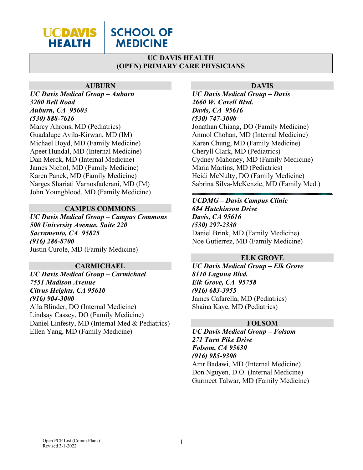

# **SCHOOL OF MEDICINE**

# **UC DAVIS HEALTH (OPEN) PRIMARY CARE PHYSICIANS**

#### **AUBURN**

*UC Davis Medical Group – Auburn 3200 Bell Road Auburn, CA 95603 (530) 888-7616* Marcy Ahrons, MD (Pediatrics) Guadalupe Avila-Kirwan, MD (IM) Michael Boyd, MD (Family Medicine) Apeet Hundal, MD (Internal Medicine) Dan Merck, MD (Internal Medicine) James Nichol, MD (Family Medicine) Karen Panek, MD (Family Medicine) Narges Shariati Varnosfaderani, MD (IM) John Youngblood, MD (Family Medicine)

## **CAMPUS COMMONS**

*UC Davis Medical Group – Campus Commons 500 University Avenue, Suite 220 Sacramento, CA 95825 (916) 286-8700* Justin Curole, MD (Family Medicine)

#### **CARMICHAEL**

*UC Davis Medical Group – Carmichael 7551 Madison Avenue Citrus Heights, CA 95610 (916) 904-3000* Alla Blinder, DO (Internal Medicine)

Lindsay Cassey, DO (Family Medicine) Daniel Linfesty, MD (Internal Med & Pediatrics) Ellen Yang, MD (Family Medicine)

#### **DAVIS**

*UC Davis Medical Group – Davis 2660 W. Covell Blvd. Davis, CA 95616 (530) 747-3000* Jonathan Chiang, DO (Family Medicine) Anmol Chohan, MD (Internal Medicine) Karen Chung, MD (Family Medicine) Cheryll Clark, MD (Pediatrics) Cydney Mahoney, MD (Family Medicine) Maria Martins, MD (Pediatrics) Heidi McNulty, DO (Family Medicine) Sabrina Silva-McKenzie, MD (Family Med.)

# *UCDMG – Davis Campus Clinic*

*684 Hutchinson Drive Davis, CA 95616 (530) 297-2330* Daniel Brink, MD (Family Medicine) Noe Gutierrez, MD (Family Medicine)

## **ELK GROVE**

*UC Davis Medical Group – Elk Grove 8110 Laguna Blvd. Elk Grove, CA 95758 (916) 683-3955* James Cafarella, MD (Pediatrics) Shaina Kaye, MD (Pediatrics)

#### **FOLSOM**

*UC Davis Medical Group – Folsom 271 Turn Pike Drive Folsom, CA 95630 (916) 985-9300* Amr Badawi, MD (Internal Medicine) Don Nguyen, D.O. (Internal Medicine) Gurmeet Talwar, MD (Family Medicine)